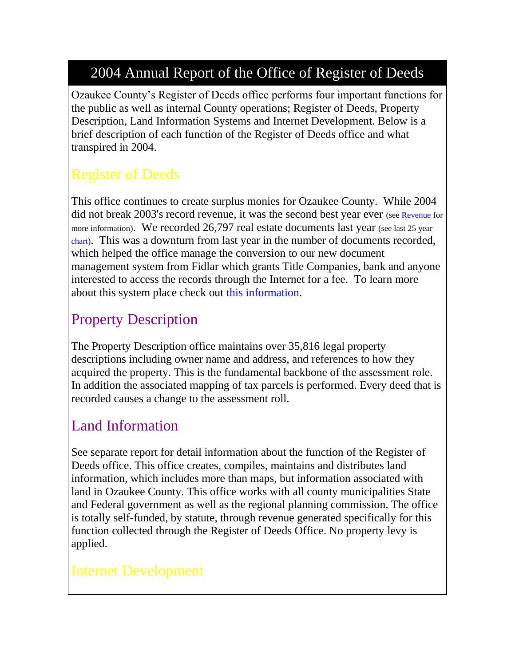## 2004 Annual Report of the Office of Register of Deeds

Ozaukee County's Register of Deeds office performs four important functions for the public as well as internal County operations; Register of Deeds, Property Description, Land Information Systems and Internet Development. Below is a brief description of each function of the Register of Deeds office and what transpired in 2004.

# Register of Deeds

This office continues to create surplus monies for Ozaukee County. While 2004 did not break 2003's record revenue, it was the second best year ever (se[e Revenue](http://www.co.ozaukee.wi.us/RegisterDeeds/Revenue.htm) for more information). We recorded 26,797 real estate documents last year (see last 25 year) [chart\)](http://www.co.ozaukee.wi.us/AnnualReports/2004/RegisterDeeds.htm#Documents). This was a downturn from last year in the number of documents recorded, which helped the office manage the conversion to our new document management system from Fidlar which grants Title Companies, bank and anyone interested to access the records through the Internet for a fee. To learn more about this system place check out [this information.](http://www.co.ozaukee.wi.us/rod/ExternalAccess.htm)

## Property Description

The Property Description office maintains over 35,816 legal property descriptions including owner name and address, and references to how they acquired the property. This is the fundamental backbone of the assessment role. In addition the associated mapping of tax parcels is performed. Every deed that is recorded causes a change to the assessment roll.

#### Land Information

See separate report for detail information about the function of the Register of Deeds office. This office creates, compiles, maintains and distributes land information, which includes more than maps, but information associated with land in Ozaukee County. This office works with all county municipalities State and Federal government as well as the regional planning commission. The office is totally self-funded, by statute, through revenue generated specifically for this function collected through the Register of Deeds Office. No property levy is applied.

## Internet Development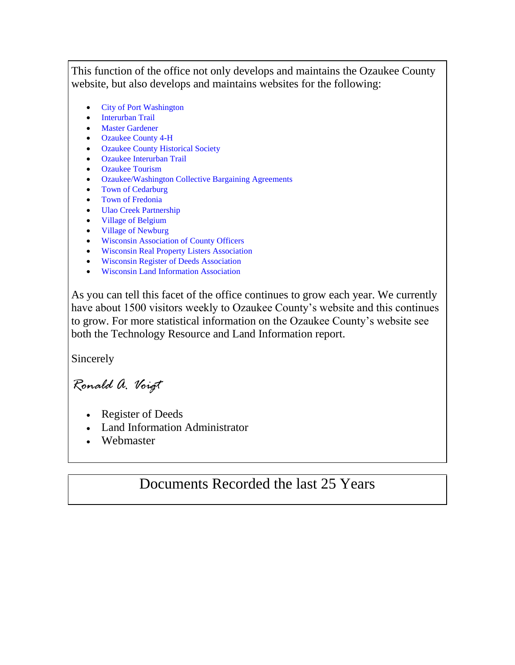This function of the office not only develops and maintains the Ozaukee County website, but also develops and maintains websites for the following:

- [City of Port Washington](http://www.ci.port-washington.wi.us/)
- [Interurban Trail](http://www.interurbantrail.us/)
- [Master Gardener](http://www.co.ozaukee.wi.us/MasterGardener/Index.htm)
- [Ozaukee County 4-H](http://www.co.ozaukee.wi.us/4H/index.htm)
- [Ozaukee County Historical Society](http://www.co.ozaukee.wi.us/OCHS/Index.htm)
- [Ozaukee Interurban Trail](http://www.interurbantrail.us/index2.htm)
- [Ozaukee Tourism](http://www.ozaukeetourism.com/)
- [Ozaukee/Washington Collective Bargaining Agreements](http://www.co.ozaukee.wi.us/CollectiveBargainingAgreements/Index.htm)
- [Town of Cedarburg](http://www.town.cedarburg.wi.us/)
- [Town of Fredonia](http://www.co.ozaukee.wi.us/TownFredonia/Index.htm)
- [Ulao Creek Partnership](http://www.ulaocreek.org/)
- [Village of Belgium](http://www.village.belgium.wi.us/)
- [Village of Newburg](http://www.village.newburg.wi.us/)
- [Wisconsin Association of County Officers](http://www.co.ozaukee.wi.us/WACO/)
- [Wisconsin Real Property Listers Association](http://www.co.ozaukee.wi.us/wrpla/index.htm)
- [Wisconsin Register of Deeds Association](http://www.wrdaonline.org/)
- [Wisconsin Land Information Association](http://www.wlia.org/)

As you can tell this facet of the office continues to grow each year. We currently have about 1500 visitors weekly to Ozaukee County's website and this continues to grow. For more statistical information on the Ozaukee County's website see both the Technology Resource and Land Information report.

Sincerely

*Ronald A. Voigt*

- Register of Deeds
- Land Information Administrator
- Webmaster

#### Documents Recorded the last 25 Years